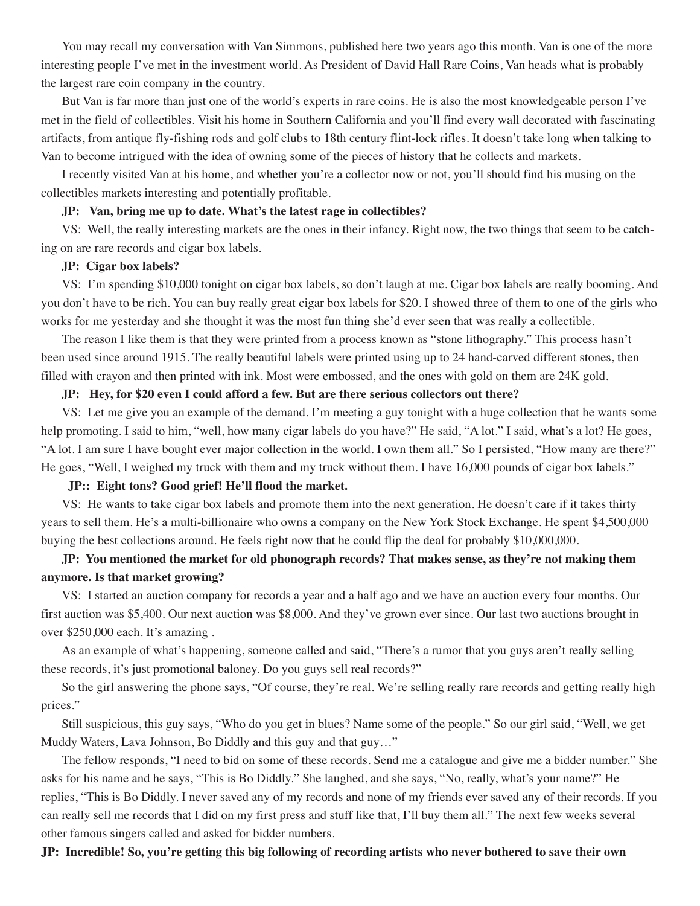You may recall my conversation with Van Simmons, published here two years ago this month. Van is one of the more interesting people I've met in the investment world. As President of David Hall Rare Coins, Van heads what is probably the largest rare coin company in the country.

But Van is far more than just one of the world's experts in rare coins. He is also the most knowledgeable person I've met in the field of collectibles. Visit his home in Southern California and you'll find every wall decorated with fascinating artifacts, from antique fly-fishing rods and golf clubs to 18th century flint-lock rifles. It doesn't take long when talking to Van to become intrigued with the idea of owning some of the pieces of history that he collects and markets.

I recently visited Van at his home, and whether you're a collector now or not, you'll should find his musing on the collectibles markets interesting and potentially profitable.

## **JP: Van, bring me up to date. What's the latest rage in collectibles?**

VS: Well, the really interesting markets are the ones in their infancy. Right now, the two things that seem to be catching on are rare records and cigar box labels.

## **JP: Cigar box labels?**

VS: I'm spending \$10,000 tonight on cigar box labels, so don't laugh at me. Cigar box labels are really booming. And you don't have to be rich. You can buy really great cigar box labels for \$20. I showed three of them to one of the girls who works for me yesterday and she thought it was the most fun thing she'd ever seen that was really a collectible.

The reason I like them is that they were printed from a process known as "stone lithography." This process hasn't been used since around 1915. The really beautiful labels were printed using up to 24 hand-carved different stones, then filled with crayon and then printed with ink. Most were embossed, and the ones with gold on them are 24K gold.

## **JP: Hey, for \$20 even I could afford a few. But are there serious collectors out there?**

VS: Let me give you an example of the demand. I'm meeting a guy tonight with a huge collection that he wants some help promoting. I said to him, "well, how many cigar labels do you have?" He said, "A lot." I said, what's a lot? He goes, "A lot. I am sure I have bought ever major collection in the world. I own them all." So I persisted, "How many are there?" He goes, "Well, I weighed my truck with them and my truck without them. I have 16,000 pounds of cigar box labels."

# **JP:: Eight tons? Good grief! He'll flood the market.**

VS: He wants to take cigar box labels and promote them into the next generation. He doesn't care if it takes thirty years to sell them. He's a multi-billionaire who owns a company on the New York Stock Exchange. He spent \$4,500,000 buying the best collections around. He feels right now that he could flip the deal for probably \$10,000,000.

# **JP: You mentioned the market for old phonograph records? That makes sense, as they're not making them anymore. Is that market growing?**

VS: I started an auction company for records a year and a half ago and we have an auction every four months. Our first auction was \$5,400. Our next auction was \$8,000. And they've grown ever since. Our last two auctions brought in over \$250,000 each. It's amazing .

As an example of what's happening, someone called and said, "There's a rumor that you guys aren't really selling these records, it's just promotional baloney. Do you guys sell real records?"

So the girl answering the phone says, "Of course, they're real. We're selling really rare records and getting really high prices."

Still suspicious, this guy says, "Who do you get in blues? Name some of the people." So our girl said, "Well, we get Muddy Waters, Lava Johnson, Bo Diddly and this guy and that guy…"

The fellow responds, "I need to bid on some of these records. Send me a catalogue and give me a bidder number." She asks for his name and he says, "This is Bo Diddly." She laughed, and she says, "No, really, what's your name?" He replies, "This is Bo Diddly. I never saved any of my records and none of my friends ever saved any of their records. If you can really sell me records that I did on my first press and stuff like that, I'll buy them all." The next few weeks several other famous singers called and asked for bidder numbers.

JP: Incredible! So, you're getting this big following of recording artists who never bothered to save their own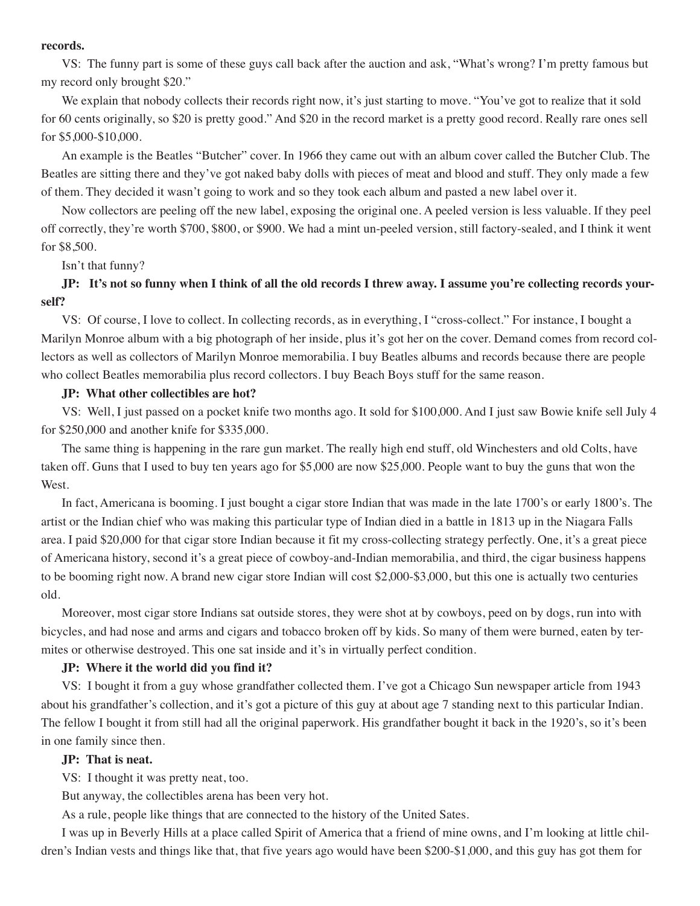#### **records.**

VS: The funny part is some of these guys call back after the auction and ask, "What's wrong? I'm pretty famous but my record only brought \$20."

We explain that nobody collects their records right now, it's just starting to move. "You've got to realize that it sold for 60 cents originally, so \$20 is pretty good." And \$20 in the record market is a pretty good record. Really rare ones sell for \$5,000-\$10,000.

An example is the Beatles "Butcher" cover. In 1966 they came out with an album cover called the Butcher Club. The Beatles are sitting there and they've got naked baby dolls with pieces of meat and blood and stuff. They only made a few of them. They decided it wasn't going to work and so they took each album and pasted a new label over it.

Now collectors are peeling off the new label, exposing the original one. A peeled version is less valuable. If they peel off correctly, they're worth \$700, \$800, or \$900. We had a mint un-peeled version, still factory-sealed, and I think it went for \$8,500.

Isn't that funny?

# JP: It's not so funny when I think of all the old records I threw away. I assume you're collecting records your**self?**

VS: Of course, I love to collect. In collecting records, as in everything, I "cross-collect." For instance, I bought a Marilyn Monroe album with a big photograph of her inside, plus it's got her on the cover. Demand comes from record collectors as well as collectors of Marilyn Monroe memorabilia. I buy Beatles albums and records because there are people who collect Beatles memorabilia plus record collectors. I buy Beach Boys stuff for the same reason.

## **JP: What other collectibles are hot?**

VS: Well, I just passed on a pocket knife two months ago. It sold for \$100,000. And I just saw Bowie knife sell July 4 for \$250,000 and another knife for \$335,000.

The same thing is happening in the rare gun market. The really high end stuff, old Winchesters and old Colts, have taken off. Guns that I used to buy ten years ago for \$5,000 are now \$25,000. People want to buy the guns that won the West.

In fact, Americana is booming. I just bought a cigar store Indian that was made in the late 1700's or early 1800's. The artist or the Indian chief who was making this particular type of Indian died in a battle in 1813 up in the Niagara Falls area. I paid \$20,000 for that cigar store Indian because it fit my cross-collecting strategy perfectly. One, it's a great piece of Americana history, second it's a great piece of cowboy-and-Indian memorabilia, and third, the cigar business happens to be booming right now. A brand new cigar store Indian will cost \$2,000-\$3,000, but this one is actually two centuries old.

Moreover, most cigar store Indians sat outside stores, they were shot at by cowboys, peed on by dogs, run into with bicycles, and had nose and arms and cigars and tobacco broken off by kids. So many of them were burned, eaten by termites or otherwise destroyed. This one sat inside and it's in virtually perfect condition.

# **JP: Where it the world did you find it?**

VS: I bought it from a guy whose grandfather collected them. I've got a Chicago Sun newspaper article from 1943 about his grandfather's collection, and it's got a picture of this guy at about age 7 standing next to this particular Indian. The fellow I bought it from still had all the original paperwork. His grandfather bought it back in the 1920's, so it's been in one family since then.

#### **JP: That is neat.**

VS: I thought it was pretty neat, too.

But anyway, the collectibles arena has been very hot.

As a rule, people like things that are connected to the history of the United Sates.

I was up in Beverly Hills at a place called Spirit of America that a friend of mine owns, and I'm looking at little children's Indian vests and things like that, that five years ago would have been \$200-\$1,000, and this guy has got them for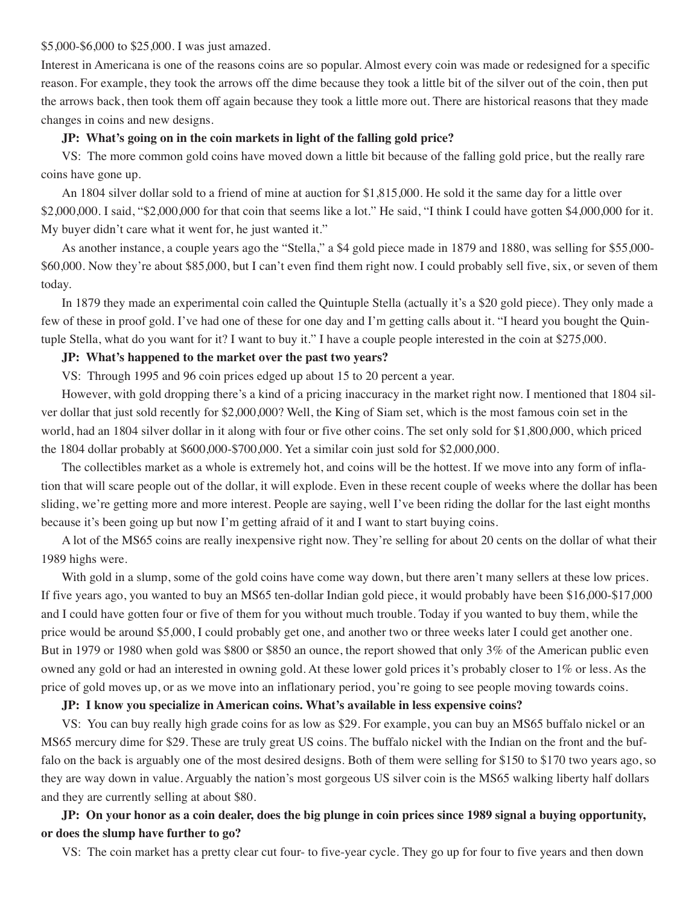#### \$5,000-\$6,000 to \$25,000. I was just amazed.

Interest in Americana is one of the reasons coins are so popular. Almost every coin was made or redesigned for a specific reason. For example, they took the arrows off the dime because they took a little bit of the silver out of the coin, then put the arrows back, then took them off again because they took a little more out. There are historical reasons that they made changes in coins and new designs.

### **JP: What's going on in the coin markets in light of the falling gold price?**

VS: The more common gold coins have moved down a little bit because of the falling gold price, but the really rare coins have gone up.

An 1804 silver dollar sold to a friend of mine at auction for \$1,815,000. He sold it the same day for a little over \$2,000,000. I said, "\$2,000,000 for that coin that seems like a lot." He said, "I think I could have gotten \$4,000,000 for it. My buyer didn't care what it went for, he just wanted it."

As another instance, a couple years ago the "Stella," a \$4 gold piece made in 1879 and 1880, was selling for \$55,000- \$60,000. Now they're about \$85,000, but I can't even find them right now. I could probably sell five, six, or seven of them today.

In 1879 they made an experimental coin called the Quintuple Stella (actually it's a \$20 gold piece). They only made a few of these in proof gold. I've had one of these for one day and I'm getting calls about it. "I heard you bought the Quintuple Stella, what do you want for it? I want to buy it." I have a couple people interested in the coin at \$275,000.

## **JP: What's happened to the market over the past two years?**

VS: Through 1995 and 96 coin prices edged up about 15 to 20 percent a year.

However, with gold dropping there's a kind of a pricing inaccuracy in the market right now. I mentioned that 1804 silver dollar that just sold recently for \$2,000,000? Well, the King of Siam set, which is the most famous coin set in the world, had an 1804 silver dollar in it along with four or five other coins. The set only sold for \$1,800,000, which priced the 1804 dollar probably at \$600,000-\$700,000. Yet a similar coin just sold for \$2,000,000.

The collectibles market as a whole is extremely hot, and coins will be the hottest. If we move into any form of inflation that will scare people out of the dollar, it will explode. Even in these recent couple of weeks where the dollar has been sliding, we're getting more and more interest. People are saying, well I've been riding the dollar for the last eight months because it's been going up but now I'm getting afraid of it and I want to start buying coins.

A lot of the MS65 coins are really inexpensive right now. They're selling for about 20 cents on the dollar of what their 1989 highs were.

With gold in a slump, some of the gold coins have come way down, but there aren't many sellers at these low prices. If five years ago, you wanted to buy an MS65 ten-dollar Indian gold piece, it would probably have been \$16,000-\$17,000 and I could have gotten four or five of them for you without much trouble. Today if you wanted to buy them, while the price would be around \$5,000, I could probably get one, and another two or three weeks later I could get another one. But in 1979 or 1980 when gold was \$800 or \$850 an ounce, the report showed that only 3% of the American public even owned any gold or had an interested in owning gold. At these lower gold prices it's probably closer to 1% or less. As the price of gold moves up, or as we move into an inflationary period, you're going to see people moving towards coins.

#### **JP: I know you specialize in American coins. What's available in less expensive coins?**

VS: You can buy really high grade coins for as low as \$29. For example, you can buy an MS65 buffalo nickel or an MS65 mercury dime for \$29. These are truly great US coins. The buffalo nickel with the Indian on the front and the buffalo on the back is arguably one of the most desired designs. Both of them were selling for \$150 to \$170 two years ago, so they are way down in value. Arguably the nation's most gorgeous US silver coin is the MS65 walking liberty half dollars and they are currently selling at about \$80.

JP: On your honor as a coin dealer, does the big plunge in coin prices since 1989 signal a buying opportunity, **or does the slump have further to go?**

VS: The coin market has a pretty clear cut four- to five-year cycle. They go up for four to five years and then down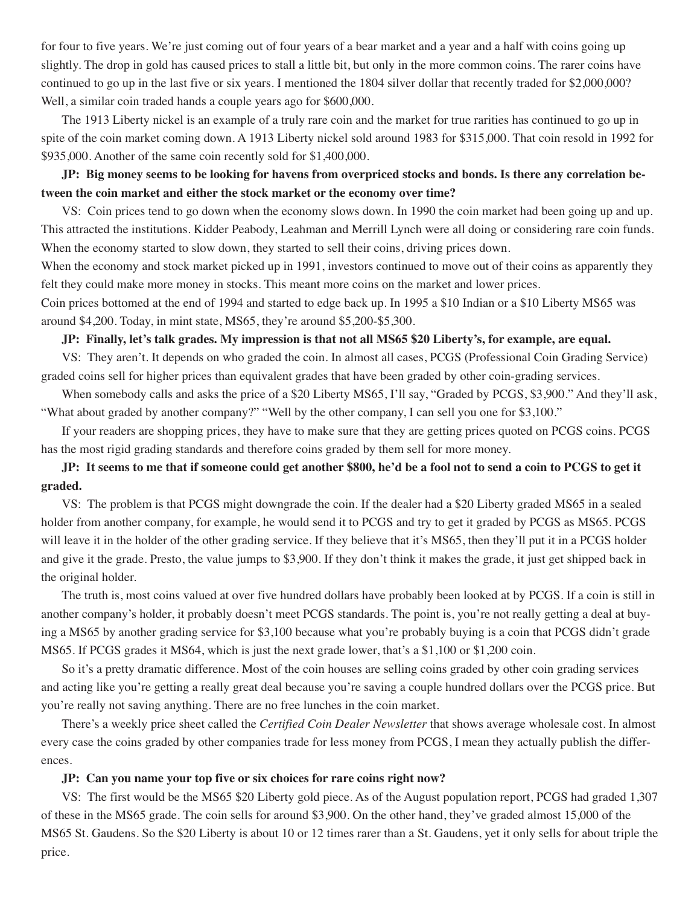for four to five years. We're just coming out of four years of a bear market and a year and a half with coins going up slightly. The drop in gold has caused prices to stall a little bit, but only in the more common coins. The rarer coins have continued to go up in the last five or six years. I mentioned the 1804 silver dollar that recently traded for \$2,000,000? Well, a similar coin traded hands a couple years ago for \$600,000.

The 1913 Liberty nickel is an example of a truly rare coin and the market for true rarities has continued to go up in spite of the coin market coming down. A 1913 Liberty nickel sold around 1983 for \$315,000. That coin resold in 1992 for \$935,000. Another of the same coin recently sold for \$1,400,000.

# JP: Big money seems to be looking for havens from overpriced stocks and bonds. Is there any correlation be**tween the coin market and either the stock market or the economy over time?**

VS: Coin prices tend to go down when the economy slows down. In 1990 the coin market had been going up and up. This attracted the institutions. Kidder Peabody, Leahman and Merrill Lynch were all doing or considering rare coin funds. When the economy started to slow down, they started to sell their coins, driving prices down.

When the economy and stock market picked up in 1991, investors continued to move out of their coins as apparently they felt they could make more money in stocks. This meant more coins on the market and lower prices.

Coin prices bottomed at the end of 1994 and started to edge back up. In 1995 a \$10 Indian or a \$10 Liberty MS65 was around \$4,200. Today, in mint state, MS65, they're around \$5,200-\$5,300.

# JP: Finally, let's talk grades. My impression is that not all MS65 \$20 Liberty's, for example, are equal.

VS: They aren't. It depends on who graded the coin. In almost all cases, PCGS (Professional Coin Grading Service) graded coins sell for higher prices than equivalent grades that have been graded by other coin-grading services.

When somebody calls and asks the price of a \$20 Liberty MS65, I'll say, "Graded by PCGS, \$3,900." And they'll ask, "What about graded by another company?" "Well by the other company, I can sell you one for \$3,100."

If your readers are shopping prices, they have to make sure that they are getting prices quoted on PCGS coins. PCGS has the most rigid grading standards and therefore coins graded by them sell for more money.

# JP: It seems to me that if someone could get another \$800, he'd be a fool not to send a coin to PCGS to get it **graded.**

VS: The problem is that PCGS might downgrade the coin. If the dealer had a \$20 Liberty graded MS65 in a sealed holder from another company, for example, he would send it to PCGS and try to get it graded by PCGS as MS65. PCGS will leave it in the holder of the other grading service. If they believe that it's MS65, then they'll put it in a PCGS holder and give it the grade. Presto, the value jumps to \$3,900. If they don't think it makes the grade, it just get shipped back in the original holder.

The truth is, most coins valued at over five hundred dollars have probably been looked at by PCGS. If a coin is still in another company's holder, it probably doesn't meet PCGS standards. The point is, you're not really getting a deal at buying a MS65 by another grading service for \$3,100 because what you're probably buying is a coin that PCGS didn't grade MS65. If PCGS grades it MS64, which is just the next grade lower, that's a \$1,100 or \$1,200 coin.

So it's a pretty dramatic difference. Most of the coin houses are selling coins graded by other coin grading services and acting like you're getting a really great deal because you're saving a couple hundred dollars over the PCGS price. But you're really not saving anything. There are no free lunches in the coin market.

There's a weekly price sheet called the *Certified Coin Dealer Newsletter* that shows average wholesale cost. In almost every case the coins graded by other companies trade for less money from PCGS, I mean they actually publish the differences.

# **JP: Can you name your top five or six choices for rare coins right now?**

VS: The first would be the MS65 \$20 Liberty gold piece. As of the August population report, PCGS had graded 1,307 of these in the MS65 grade. The coin sells for around \$3,900. On the other hand, they've graded almost 15,000 of the MS65 St. Gaudens. So the \$20 Liberty is about 10 or 12 times rarer than a St. Gaudens, yet it only sells for about triple the price.